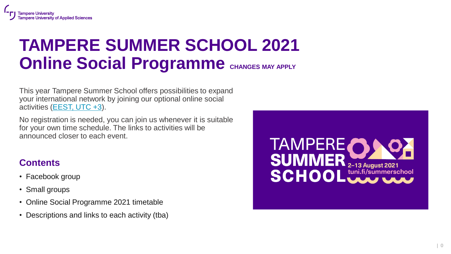### **TAMPERE SUMMER SCHOOL 2021 Online Social Programme** CHANGES MAY APPLY

This year Tampere Summer School offers possibilities to expand your international network by joining our optional online social activities [\(EEST, UTC +3\)](https://www.timeanddate.com/time/zones/eest).

No registration is needed, you can join us whenever it is suitable for your own time schedule. The links to activities will be announced closer to each event.

### **Contents**

- Facebook group
- Small groups
- Online Social Programme 2021 timetable
- Descriptions and links to each activity (tba)

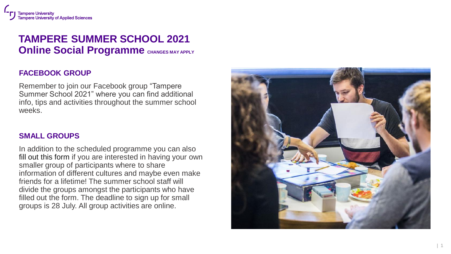### **TAMPERE SUMMER SCHOOL 2021 Online Social Programme** CHANGES MAY APPLY

#### **FACEBOOK GROUP**

Remember to join our Facebook group "Tampere Summer School 2021" where you can find additional info, tips and activities throughout the summer school weeks.

#### **SMALL GROUPS**

In addition to the scheduled programme you can also fill out this form if you are interested in having your own smaller group of participants where to share information of different cultures and maybe even make friends for a lifetime! The summer school staff will divide the groups amongst the participants who have filled out the form. The deadline to sign up for small groups is 28 July. All group activities are online.

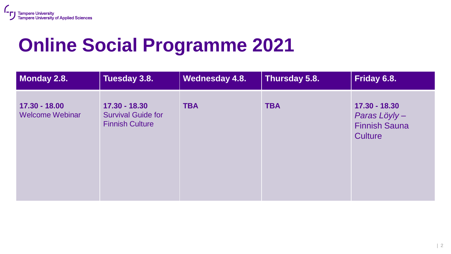## **Online Social Programme 2021**

| Monday 2.8.                             | Tuesday 3.8.                                                         | Wednesday 4.8. | Thursday 5.8. | Friday 6.8.                                                             |
|-----------------------------------------|----------------------------------------------------------------------|----------------|---------------|-------------------------------------------------------------------------|
| 17.30 - 18.00<br><b>Welcome Webinar</b> | 17.30 - 18.30<br><b>Survival Guide for</b><br><b>Finnish Culture</b> | <b>TBA</b>     | <b>TBA</b>    | 17.30 - 18.30<br>Paras Löyly-<br><b>Finnish Sauna</b><br><b>Culture</b> |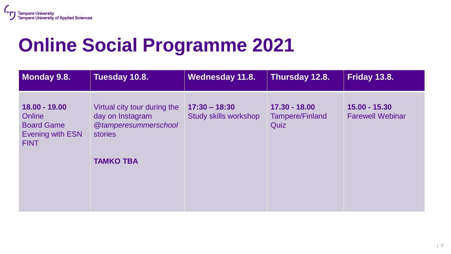## **Online Social Programme 2021**

| Monday 9.8.                                                                     | Tuesday 10.8.                                                                              | Wednesday 11.8.                          | Thursday 12.8.                                    | Friday 13.8.                             |
|---------------------------------------------------------------------------------|--------------------------------------------------------------------------------------------|------------------------------------------|---------------------------------------------------|------------------------------------------|
| 18.00 - 19.00<br>Online<br><b>Board Game</b><br>Evening with ESN<br><b>FINT</b> | Virtual city tour during the<br>day on Instagram<br>@tamperesummerschool<br><b>stories</b> | $17:30 - 18:30$<br>Study skills workshop | $17.30 - 18.00$<br><b>Tampere/Finland</b><br>Quiz | 15.00 - 15.30<br><b>Farewell Webinar</b> |
|                                                                                 | <b>TAMKO TBA</b>                                                                           |                                          |                                                   |                                          |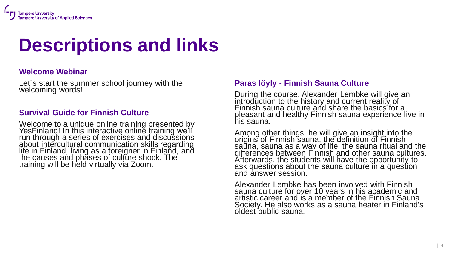# **Descriptions and links**

#### **Welcome Webinar**

Let´s start the summer school journey with the welcoming words!

#### **Survival Guide for Finnish Culture**

Welcome to a unique online training presented by YesFinland! In this interactive online training we'll run through a series of exercises and discussions about intercultural communication skills regarding life in Finland, living as a foreigner in Finland, and the causes and phases of culture shock. The training will be held virtually via Zoom.

#### **Paras löyly - Finnish Sauna Culture**

During the course, Alexander Lembke will give an introduction to the history and current reality of Finnish sauna culture and share the basics for a pleasant and healthy Finnish sauna experience live in his sauna.

Among other things, he will give an insight into the origins of Finnish sauna, the definition of Finnish sauna, sauna as a way of life, the sauna ritual and the differences between Finnish and other sauna cultures. Afterwards, the students will have the opportunity to ask questions about the sauna culture in a question and answer session.

Alexander Lembke has been involved with Finnish sauna culture for over 10 years in his academic and artistic career and is a member of the Finnish Sauna Society. He also works as a sauna heater in Finland's oldest public sauna.